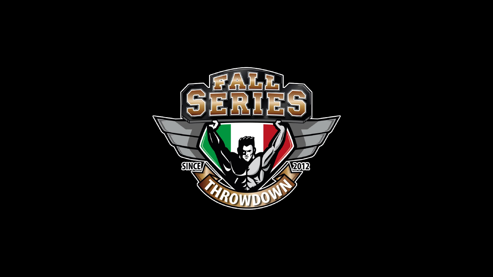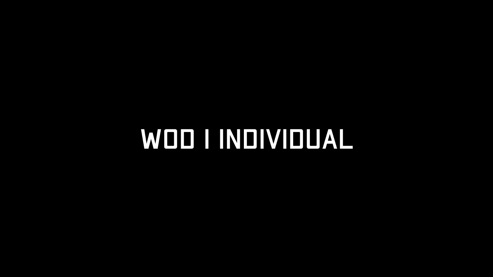# WOD I INDIVIDUAL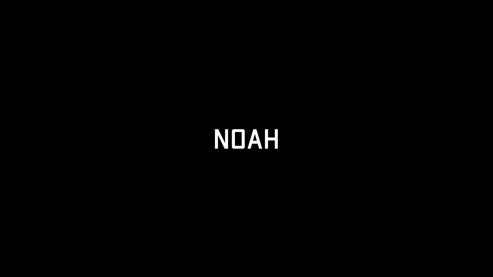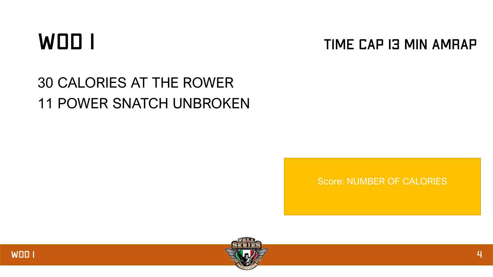#### WOD I

#### **TIME CAP I3 MIN AMRAP**

#### 30 CALORIES AT THE ROWER 11 POWER SNATCH UNBROKEN

Score: NUMBER OF CALORIES

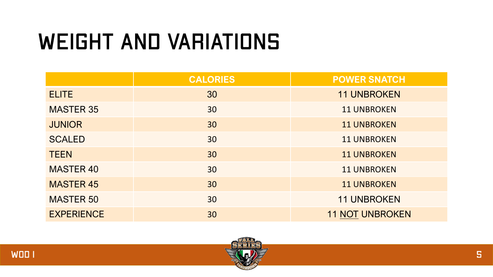## **WEIGHT AND VARIATIONS**

|                   | <b>CALORIES</b> | <b>POWER SNATCH</b>    |
|-------------------|-----------------|------------------------|
| <b>ELITE</b>      | 30              | <b>11 UNBROKEN</b>     |
| <b>MASTER 35</b>  | 30              | <b>11 UNBROKEN</b>     |
| <b>JUNIOR</b>     | 30              | <b>11 UNBROKEN</b>     |
| <b>SCALED</b>     | 30              | <b>11 UNBROKEN</b>     |
| <b>TEEN</b>       | 30              | <b>11 UNBROKEN</b>     |
| <b>MASTER 40</b>  | 30              | <b>11 UNBROKEN</b>     |
| <b>MASTER 45</b>  | 30              | <b>11 UNBROKEN</b>     |
| <b>MASTER 50</b>  | 30              | <b>11 UNBROKEN</b>     |
| <b>EXPERIENCE</b> | 30              | <b>11 NOT UNBROKEN</b> |

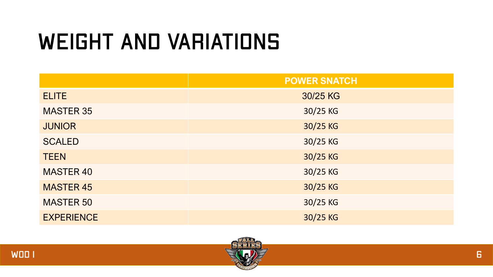## **WEIGHT AND VARIATIONS**

|                   | <b>POWER SNATCH</b> |
|-------------------|---------------------|
| <b>ELITE</b>      | 30/25 KG            |
| <b>MASTER 35</b>  | 30/25 KG            |
| <b>JUNIOR</b>     | 30/25 KG            |
| <b>SCALED</b>     | 30/25 KG            |
| <b>TEEN</b>       | 30/25 KG            |
| <b>MASTER 40</b>  | 30/25 KG            |
| <b>MASTER 45</b>  | 30/25 KG            |
| <b>MASTER 50</b>  | 30/25 KG            |
| <b>EXPERIENCE</b> | 30/25 KG            |

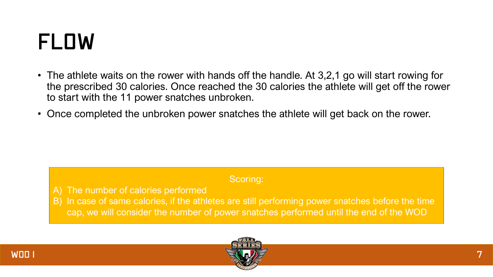#### FLOW

- The athlete waits on the rower with hands off the handle. At 3,2,1 go will start rowing for the prescribed 30 calories. Once reached the 30 calories the athlete will get off the rower to start with the 11 power snatches unbroken.
- Once completed the unbroken power snatches the athlete will get back on the rower.

#### Scoring:

- A) The number of calories performed
- B) In case of same calories, if the athletes are still performing power snatches before the time cap, we will consider the number of power snatches performed until the end of the WOD



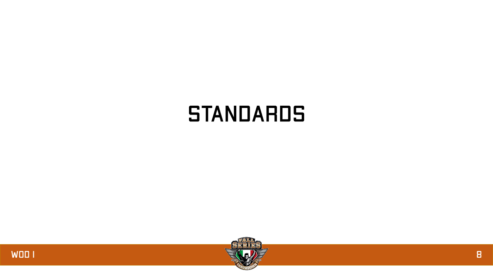#### **STANDARDS**



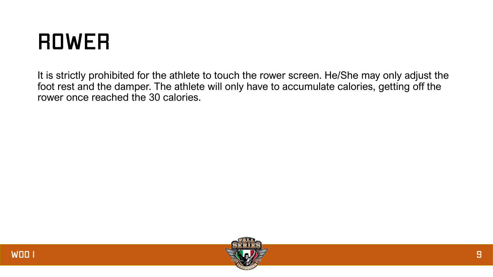#### **ROWER**

It is strictly prohibited for the athlete to touch the rower screen. He/She may only adjust the foot rest and the damper. The athlete will only have to accumulate calories, getting off the rower once reached the 30 calories.